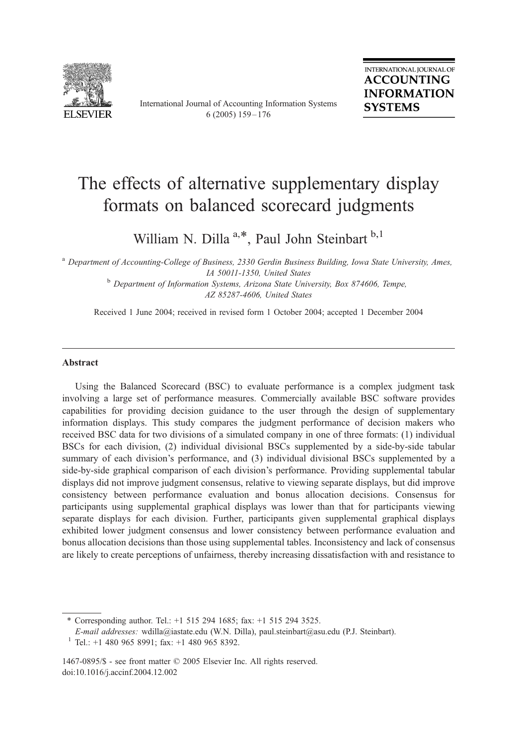

International Journal of Accounting Information Systems 6 (2005) 159 – 176

## The effects of alternative supplementary display formats on balanced scorecard judgments

William N. Dilla <sup>a,\*</sup>, Paul John Steinbart <sup>b,1</sup>

<sup>a</sup> Department of Accounting-College of Business, 2330 Gerdin Business Building, Iowa State University, Ames, IA 50011-1350, United States<br>b Department of Information Systems, Arizona State University, Box 874606, Tempe, AZ 85287-4606, United States

Received 1 June 2004; received in revised form 1 October 2004; accepted 1 December 2004

## Abstract

Using the Balanced Scorecard (BSC) to evaluate performance is a complex judgment task involving a large set of performance measures. Commercially available BSC software provides capabilities for providing decision guidance to the user through the design of supplementary information displays. This study compares the judgment performance of decision makers who received BSC data for two divisions of a simulated company in one of three formats: (1) individual BSCs for each division, (2) individual divisional BSCs supplemented by a side-by-side tabular summary of each division's performance, and (3) individual divisional BSCs supplemented by a side-by-side graphical comparison of each division's performance. Providing supplemental tabular displays did not improve judgment consensus, relative to viewing separate displays, but did improve consistency between performance evaluation and bonus allocation decisions. Consensus for participants using supplemental graphical displays was lower than that for participants viewing separate displays for each division. Further, participants given supplemental graphical displays exhibited lower judgment consensus and lower consistency between performance evaluation and bonus allocation decisions than those using supplemental tables. Inconsistency and lack of consensus are likely to create perceptions of unfairness, thereby increasing dissatisfaction with and resistance to

<sup>\*</sup> Corresponding author. Tel.: +1 515 294 1685; fax: +1 515 294 3525.

 $E\!$ mail addresses: wdilla@iastate.edu (W.N. Dilla), paul.steinbart@asu.edu (P.J. Steinbart). $^1$  Tel.: +1 480 965 8991; fax: +1 480 965 8392.

<sup>1467-0895/\$ -</sup> see front matter © 2005 Elsevier Inc. All rights reserved. doi:10.1016/j.accinf.2004.12.002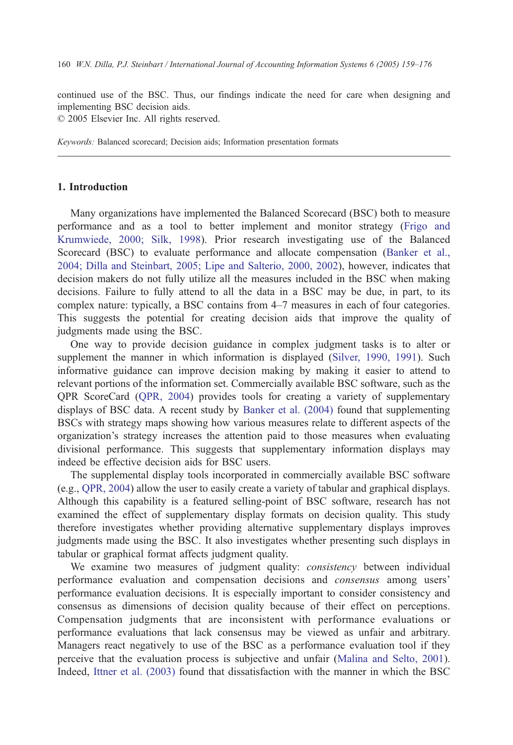continued use of the BSC. Thus, our findings indicate the need for care when designing and implementing BSC decision aids.

 $© 2005 Elsevier Inc. All rights reserved.$ 

Keywords: Balanced scorecard; Decision aids; Information presentation formats

## 1. Introduction

Many organizations have implemented the Balanced Scorecard (BSC) both to measure performance and as a tool to better implement and monitor strategy ([Frigo and](#page--1-0) Krumwiede, 2000; Silk, 1998). Prior research investigating use of the Balanced Scorecard (BSC) to evaluate performance and allocate compensation ([Banker et al.,](#page--1-0) 2004; Dilla and Steinbart, 2005; Lipe and Salterio, 2000, 2002), however, indicates that decision makers do not fully utilize all the measures included in the BSC when making decisions. Failure to fully attend to all the data in a BSC may be due, in part, to its complex nature: typically, a BSC contains from 4–7 measures in each of four categories. This suggests the potential for creating decision aids that improve the quality of judgments made using the BSC.

One way to provide decision guidance in complex judgment tasks is to alter or supplement the manner in which information is displayed ([Silver, 1990, 1991\)](#page--1-0). Such informative guidance can improve decision making by making it easier to attend to relevant portions of the information set. Commercially available BSC software, such as the QPR ScoreCard ([QPR, 2004\)](#page--1-0) provides tools for creating a variety of supplementary displays of BSC data. A recent study by [Banker et al. \(2004\)](#page--1-0) found that supplementing BSCs with strategy maps showing how various measures relate to different aspects of the organization's strategy increases the attention paid to those measures when evaluating divisional performance. This suggests that supplementary information displays may indeed be effective decision aids for BSC users.

The supplemental display tools incorporated in commercially available BSC software (e.g., [QPR, 2004\)](#page--1-0) allow the user to easily create a variety of tabular and graphical displays. Although this capability is a featured selling-point of BSC software, research has not examined the effect of supplementary display formats on decision quality. This study therefore investigates whether providing alternative supplementary displays improves judgments made using the BSC. It also investigates whether presenting such displays in tabular or graphical format affects judgment quality.

We examine two measures of judgment quality: *consistency* between individual performance evaluation and compensation decisions and consensus among users' performance evaluation decisions. It is especially important to consider consistency and consensus as dimensions of decision quality because of their effect on perceptions. Compensation judgments that are inconsistent with performance evaluations or performance evaluations that lack consensus may be viewed as unfair and arbitrary. Managers react negatively to use of the BSC as a performance evaluation tool if they perceive that the evaluation process is subjective and unfair ([Malina and Selto, 2001\)](#page--1-0). Indeed, [Ittner et al. \(2003\)](#page--1-0) found that dissatisfaction with the manner in which the BSC